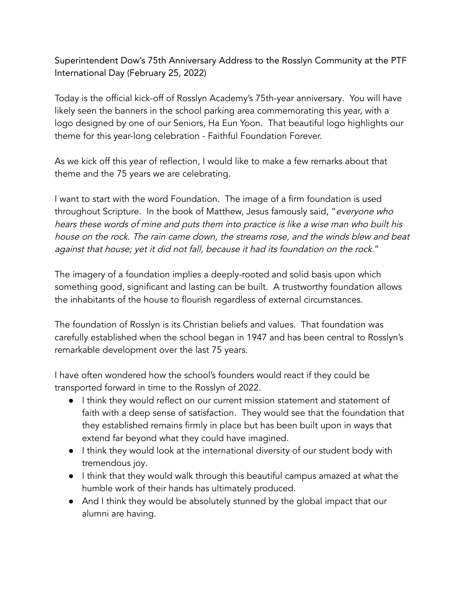Superintendent Dow's 75th Anniversary Address to the Rosslyn Community at the PTF International Day (February 25, 2022)

Today is the official kick-off of Rosslyn Academy's 75th-year anniversary. You will have likely seen the banners in the school parking area commemorating this year, with a logo designed by one of our Seniors, Ha Eun Yoon. That beautiful logo highlights our theme for this year-long celebration - Faithful Foundation Forever.

As we kick off this year of reflection, I would like to make a few remarks about that theme and the 75 years we are celebrating.

I want to start with the word Foundation. The image of a firm foundation is used throughout Scripture. In the book of Matthew, Jesus famously said, "everyone who hears these words of mine and puts them into practice is like <sup>a</sup> wise man who built his house on the rock. The rain came down, the streams rose, and the winds blew and beat against that house; yet it did not fall, because it had its foundation on the rock."

The imagery of a foundation implies a deeply-rooted and solid basis upon which something good, significant and lasting can be built. A trustworthy foundation allows the inhabitants of the house to flourish regardless of external circumstances.

The foundation of Rosslyn is its Christian beliefs and values. That foundation was carefully established when the school began in 1947 and has been central to Rosslyn's remarkable development over the last 75 years.

I have often wondered how the school's founders would react if they could be transported forward in time to the Rosslyn of 2022.

- I think they would reflect on our current mission statement and statement of faith with a deep sense of satisfaction. They would see that the foundation that they established remains firmly in place but has been built upon in ways that extend far beyond what they could have imagined.
- I think they would look at the international diversity of our student body with tremendous joy.
- I think that they would walk through this beautiful campus amazed at what the humble work of their hands has ultimately produced.
- And I think they would be absolutely stunned by the global impact that our alumni are having.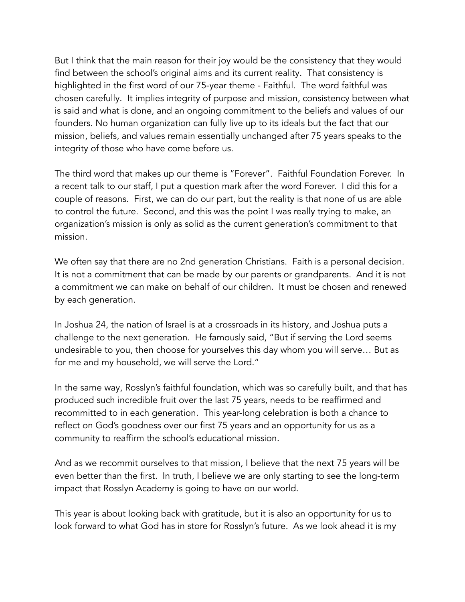But I think that the main reason for their joy would be the consistency that they would find between the school's original aims and its current reality. That consistency is highlighted in the first word of our 75-year theme - Faithful. The word faithful was chosen carefully. It implies integrity of purpose and mission, consistency between what is said and what is done, and an ongoing commitment to the beliefs and values of our founders. No human organization can fully live up to its ideals but the fact that our mission, beliefs, and values remain essentially unchanged after 75 years speaks to the integrity of those who have come before us.

The third word that makes up our theme is "Forever". Faithful Foundation Forever. In a recent talk to our staff, I put a question mark after the word Forever. I did this for a couple of reasons. First, we can do our part, but the reality is that none of us are able to control the future. Second, and this was the point I was really trying to make, an organization's mission is only as solid as the current generation's commitment to that mission.

We often say that there are no 2nd generation Christians. Faith is a personal decision. It is not a commitment that can be made by our parents or grandparents. And it is not a commitment we can make on behalf of our children. It must be chosen and renewed by each generation.

In Joshua 24, the nation of Israel is at a crossroads in its history, and Joshua puts a challenge to the next generation. He famously said, "But if serving the Lord seems undesirable to you, then choose for yourselves this day whom you will serve… But as for me and my household, we will serve the Lord."

In the same way, Rosslyn's faithful foundation, which was so carefully built, and that has produced such incredible fruit over the last 75 years, needs to be reaffirmed and recommitted to in each generation. This year-long celebration is both a chance to reflect on God's goodness over our first 75 years and an opportunity for us as a community to reaffirm the school's educational mission.

And as we recommit ourselves to that mission, I believe that the next 75 years will be even better than the first. In truth, I believe we are only starting to see the long-term impact that Rosslyn Academy is going to have on our world.

This year is about looking back with gratitude, but it is also an opportunity for us to look forward to what God has in store for Rosslyn's future. As we look ahead it is my